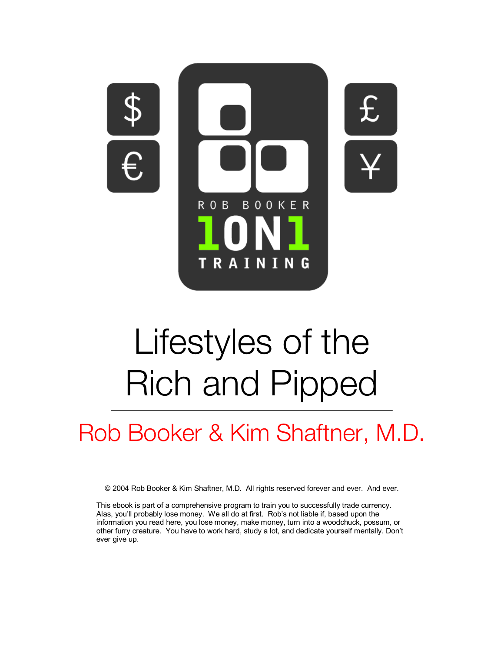

# Lifestyles of the Rich and Pipped

## Rob Booker & Kim Shaftner, M.D.

© 2004 Rob Booker & Kim Shaftner, M.D. All rights reserved forever and ever. And ever.

This ebook is part of a comprehensive program to train you to successfully trade currency. Alas, you'll probably lose money. We all do at first. Rob's not liable if, based upon the information you read here, you lose money, make money, turn into a woodchuck, possum, or other furry creature. You have to work hard, study a lot, and dedicate yourself mentally. Don't ever give up.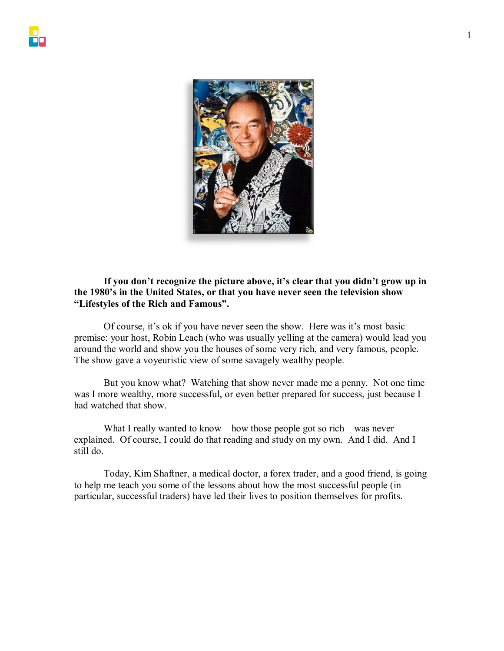

#### **If you don't recognize the picture above, it's clear that you didn't grow up in the 1980's in the United States, or that you have never seen the television show "Lifestyles of the Rich and Famous".**

 Of course, it's ok if you have never seen the show. Here was it's most basic premise: your host, Robin Leach (who was usually yelling at the camera) would lead you around the world and show you the houses of some very rich, and very famous, people. The show gave a voyeuristic view of some savagely wealthy people.

 But you know what? Watching that show never made me a penny. Not one time was I more wealthy, more successful, or even better prepared for success, just because I had watched that show.

 What I really wanted to know – how those people got so rich – was never explained. Of course, I could do that reading and study on my own. And I did. And I still do.

 Today, Kim Shaftner, a medical doctor, a forex trader, and a good friend, is going to help me teach you some of the lessons about how the most successful people (in particular, successful traders) have led their lives to position themselves for profits.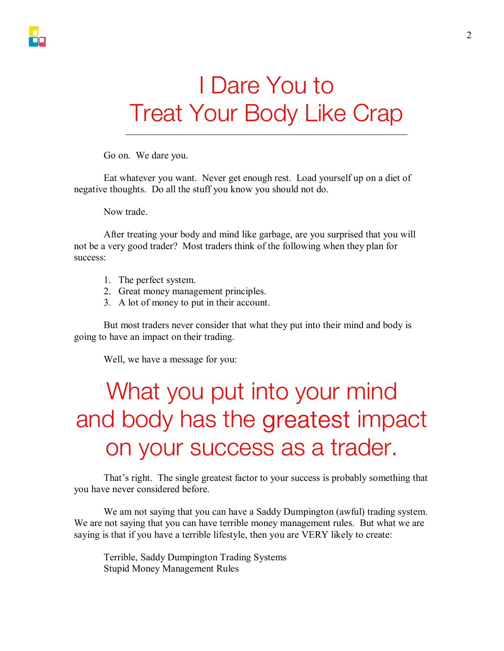## I Dare You to Treat Your Body Like Crap

Go on. We dare you.

Eat whatever you want. Never get enough rest. Load yourself up on a diet of negative thoughts. Do all the stuff you know you should not do.

Now trade.

After treating your body and mind like garbage, are you surprised that you will not be a very good trader? Most traders think of the following when they plan for success:

- 1. The perfect system.
- 2. Great money management principles.
- 3. A lot of money to put in their account.

 But most traders never consider that what they put into their mind and body is going to have an impact on their trading.

Well, we have a message for you:

## What you put into your mind and body has the greatest impact on your success as a trader.

That's right. The single greatest factor to your success is probably something that you have never considered before.

We am not saying that you can have a Saddy Dumpington (awful) trading system. We are not saying that you can have terrible money management rules. But what we are saying is that if you have a terrible lifestyle, then you are VERY likely to create:

Terrible, Saddy Dumpington Trading Systems Stupid Money Management Rules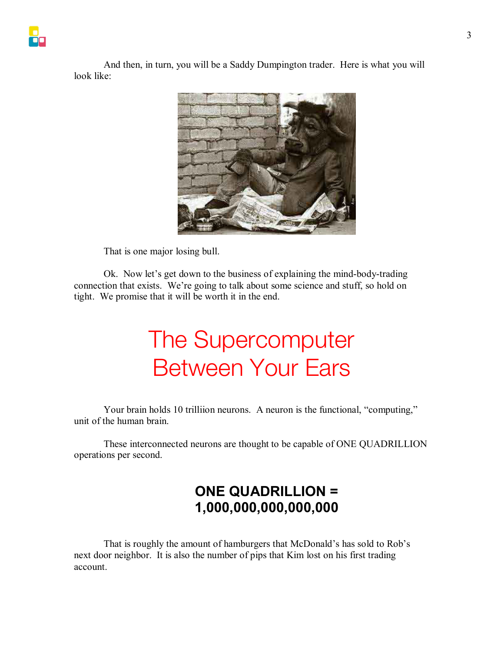And then, in turn, you will be a Saddy Dumpington trader. Here is what you will look like:



That is one major losing bull.

 Ok. Now let's get down to the business of explaining the mind-body-trading connection that exists. We're going to talk about some science and stuff, so hold on tight. We promise that it will be worth it in the end.

## The Supercomputer Between Your Ears

Your brain holds 10 trilliion neurons. A neuron is the functional, "computing," unit of the human brain.

These interconnected neurons are thought to be capable of ONE QUADRILLION operations per second.

### **ONE QUADRILLION = 1,000,000,000,000,000**

That is roughly the amount of hamburgers that McDonald's has sold to Rob's next door neighbor. It is also the number of pips that Kim lost on his first trading account.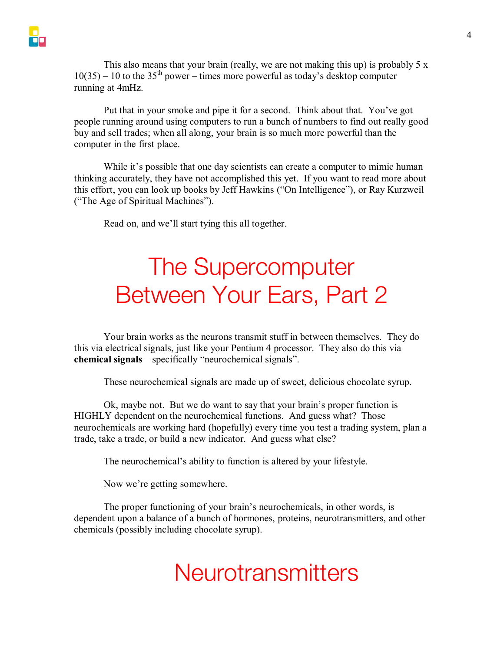This also means that your brain (really, we are not making this up) is probably  $5 \times$  $10(35) - 10$  to the  $35<sup>th</sup>$  power – times more powerful as today's desktop computer running at 4mHz.

Put that in your smoke and pipe it for a second. Think about that. You've got people running around using computers to run a bunch of numbers to find out really good buy and sell trades; when all along, your brain is so much more powerful than the computer in the first place.

While it's possible that one day scientists can create a computer to mimic human thinking accurately, they have not accomplished this yet. If you want to read more about this effort, you can look up books by Jeff Hawkins ("On Intelligence"), or Ray Kurzweil ("The Age of Spiritual Machines").

Read on, and we'll start tying this all together.

## The Supercomputer Between Your Ears, Part 2

Your brain works as the neurons transmit stuff in between themselves. They do this via electrical signals, just like your Pentium 4 processor. They also do this via **chemical signals** – specifically "neurochemical signals".

These neurochemical signals are made up of sweet, delicious chocolate syrup.

Ok, maybe not. But we do want to say that your brain's proper function is HIGHLY dependent on the neurochemical functions. And guess what? Those neurochemicals are working hard (hopefully) every time you test a trading system, plan a trade, take a trade, or build a new indicator. And guess what else?

The neurochemical's ability to function is altered by your lifestyle.

Now we're getting somewhere.

The proper functioning of your brain's neurochemicals, in other words, is dependent upon a balance of a bunch of hormones, proteins, neurotransmitters, and other chemicals (possibly including chocolate syrup).

### **Neurotransmitters**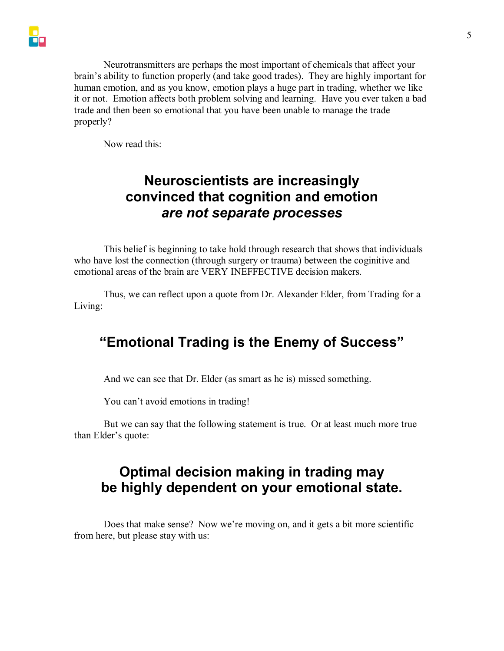Neurotransmitters are perhaps the most important of chemicals that affect your brain's ability to function properly (and take good trades). They are highly important for human emotion, and as you know, emotion plays a huge part in trading, whether we like it or not. Emotion affects both problem solving and learning. Have you ever taken a bad trade and then been so emotional that you have been unable to manage the trade properly?

Now read this:

### **Neuroscientists are increasingly convinced that cognition and emotion**  *are not separate processes*

This belief is beginning to take hold through research that shows that individuals who have lost the connection (through surgery or trauma) between the coginitive and emotional areas of the brain are VERY INEFFECTIVE decision makers.

Thus, we can reflect upon a quote from Dr. Alexander Elder, from Trading for a Living:

### **"Emotional Trading is the Enemy of Success"**

And we can see that Dr. Elder (as smart as he is) missed something.

You can't avoid emotions in trading!

But we can say that the following statement is true. Or at least much more true than Elder's quote:

### **Optimal decision making in trading may be highly dependent on your emotional state.**

Does that make sense? Now we're moving on, and it gets a bit more scientific from here, but please stay with us: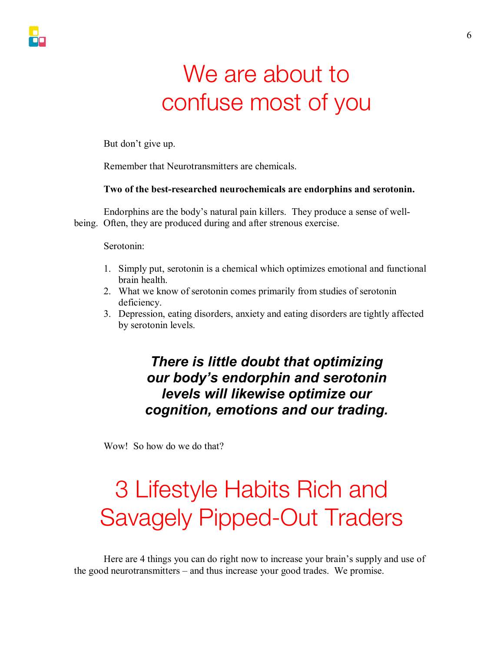## We are about to confuse most of you

But don't give up.

Remember that Neurotransmitters are chemicals.

#### **Two of the best-researched neurochemicals are endorphins and serotonin.**

Endorphins are the body's natural pain killers. They produce a sense of wellbeing. Often, they are produced during and after strenous exercise.

Serotonin:

- 1. Simply put, serotonin is a chemical which optimizes emotional and functional brain health.
- 2. What we know of serotonin comes primarily from studies of serotonin deficiency.
- 3. Depression, eating disorders, anxiety and eating disorders are tightly affected by serotonin levels.

### *There is little doubt that optimizing our body's endorphin and serotonin levels will likewise optimize our cognition, emotions and our trading.*

Wow! So how do we do that?

## 3 Lifestyle Habits Rich and Savagely Pipped-Out Traders

Here are 4 things you can do right now to increase your brain's supply and use of the good neurotransmitters – and thus increase your good trades. We promise.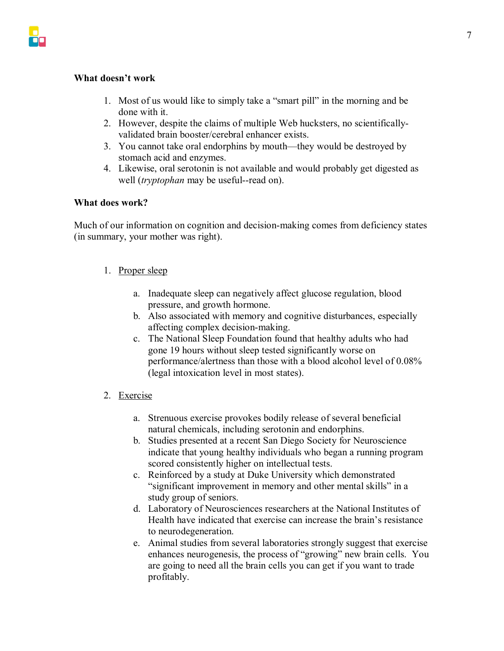#### **What doesn't work**

- 1. Most of us would like to simply take a "smart pill" in the morning and be done with it.
- 2. However, despite the claims of multiple Web hucksters, no scientificallyvalidated brain booster/cerebral enhancer exists.
- 3. You cannot take oral endorphins by mouth—they would be destroyed by stomach acid and enzymes.
- 4. Likewise, oral serotonin is not available and would probably get digested as well (*tryptophan* may be useful--read on).

#### **What does work?**

Much of our information on cognition and decision-making comes from deficiency states (in summary, your mother was right).

#### 1. Proper sleep

- a. Inadequate sleep can negatively affect glucose regulation, blood pressure, and growth hormone.
- b. Also associated with memory and cognitive disturbances, especially affecting complex decision-making.
- c. The National Sleep Foundation found that healthy adults who had gone 19 hours without sleep tested significantly worse on performance/alertness than those with a blood alcohol level of 0.08% (legal intoxication level in most states).
- 2. Exercise
	- a. Strenuous exercise provokes bodily release of several beneficial natural chemicals, including serotonin and endorphins.
	- b. Studies presented at a recent San Diego Society for Neuroscience indicate that young healthy individuals who began a running program scored consistently higher on intellectual tests.
	- c. Reinforced by a study at Duke University which demonstrated "significant improvement in memory and other mental skills" in a study group of seniors.
	- d. Laboratory of Neurosciences researchers at the National Institutes of Health have indicated that exercise can increase the brain's resistance to neurodegeneration.
	- e. Animal studies from several laboratories strongly suggest that exercise enhances neurogenesis, the process of "growing" new brain cells. You are going to need all the brain cells you can get if you want to trade profitably.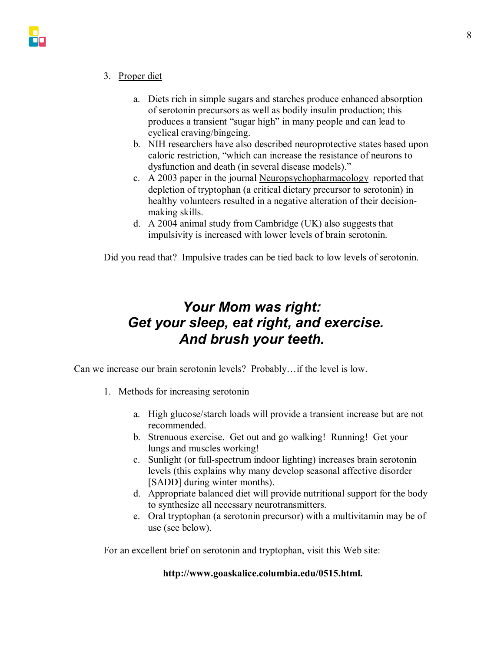

- 3. Proper diet
	- a. Diets rich in simple sugars and starches produce enhanced absorption of serotonin precursors as well as bodily insulin production; this produces a transient "sugar high" in many people and can lead to cyclical craving/bingeing.
	- b. NIH researchers have also described neuroprotective states based upon caloric restriction, "which can increase the resistance of neurons to dysfunction and death (in several disease models)."
	- c. A 2003 paper in the journal Neuropsychopharmacology reported that depletion of tryptophan (a critical dietary precursor to serotonin) in healthy volunteers resulted in a negative alteration of their decisionmaking skills.
	- d. A 2004 animal study from Cambridge (UK) also suggests that impulsivity is increased with lower levels of brain serotonin.

Did you read that? Impulsive trades can be tied back to low levels of serotonin.

### *Your Mom was right: Get your sleep, eat right, and exercise. And brush your teeth.*

Can we increase our brain serotonin levels? Probably…if the level is low.

- 1. Methods for increasing serotonin
	- a. High glucose/starch loads will provide a transient increase but are not recommended.
	- b. Strenuous exercise. Get out and go walking! Running! Get your lungs and muscles working!
	- c. Sunlight (or full-spectrum indoor lighting) increases brain serotonin levels (this explains why many develop seasonal affective disorder [SADD] during winter months).
	- d. Appropriate balanced diet will provide nutritional support for the body to synthesize all necessary neurotransmitters.
	- e. Oral tryptophan (a serotonin precursor) with a multivitamin may be of use (see below).

For an excellent brief on serotonin and tryptophan, visit this Web site:

#### **http://www.goaskalice.columbia.edu/0515.html.**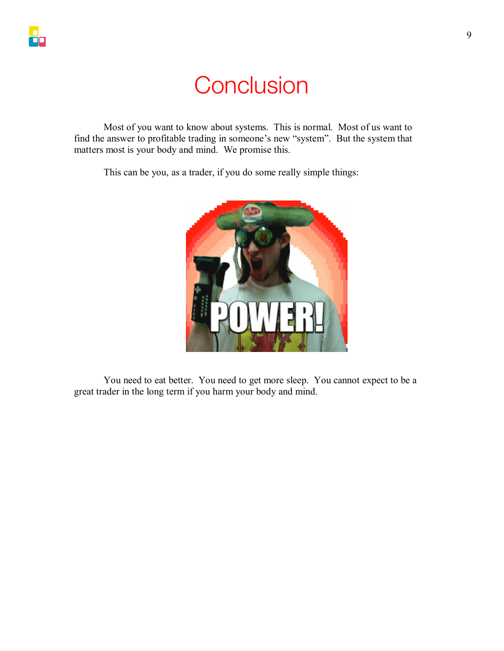### **Conclusion**

Most of you want to know about systems. This is normal. Most of us want to find the answer to profitable trading in someone's new "system". But the system that matters most is your body and mind. We promise this.

This can be you, as a trader, if you do some really simple things:



You need to eat better. You need to get more sleep. You cannot expect to be a great trader in the long term if you harm your body and mind.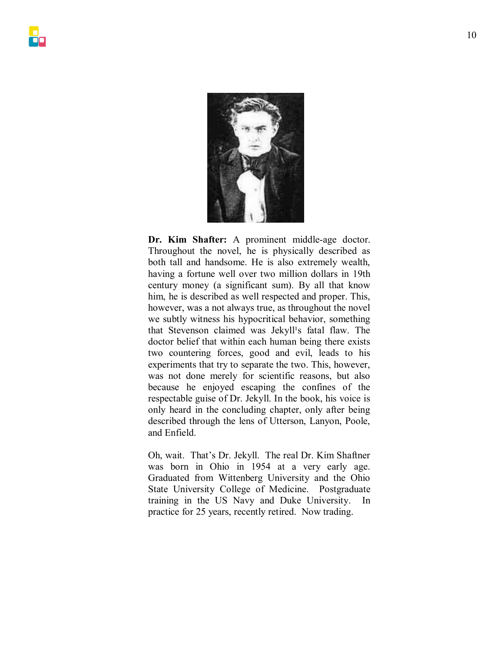

**Dr. Kim Shafter:** A prominent middle-age doctor. Throughout the novel, he is physically described as both tall and handsome. He is also extremely wealth, having a fortune well over two million dollars in 19th century money (a significant sum). By all that know him, he is described as well respected and proper. This, however, was a not always true, as throughout the novel we subtly witness his hypocritical behavior, something that Stevenson claimed was Jekyll<sup>1</sup>s fatal flaw. The doctor belief that within each human being there exists two countering forces, good and evil, leads to his experiments that try to separate the two. This, however, was not done merely for scientific reasons, but also because he enjoyed escaping the confines of the respectable guise of Dr. Jekyll. In the book, his voice is only heard in the concluding chapter, only after being described through the lens of Utterson, Lanyon, Poole, and Enfield.

Oh, wait. That's Dr. Jekyll. The real Dr. Kim Shaftner was born in Ohio in 1954 at a very early age. Graduated from Wittenberg University and the Ohio State University College of Medicine. Postgraduate training in the US Navy and Duke University. In practice for 25 years, recently retired. Now trading.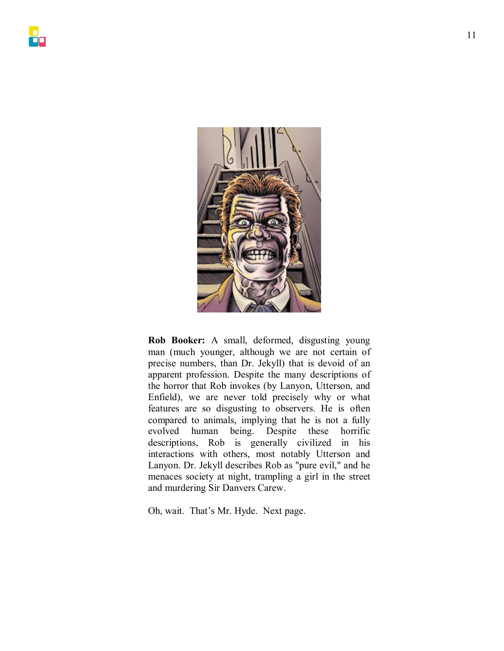

**Rob Booker:** A small, deformed, disgusting young man (much younger, although we are not certain of precise numbers, than Dr. Jekyll) that is devoid of an apparent profession. Despite the many descriptions of the horror that Rob invokes (by Lanyon, Utterson, and Enfield), we are never told precisely why or what features are so disgusting to observers. He is often compared to animals, implying that he is not a fully evolved human being. Despite these horrific descriptions, Rob is generally civilized in his interactions with others, most notably Utterson and Lanyon. Dr. Jekyll describes Rob as "pure evil," and he menaces society at night, trampling a girl in the street and murdering Sir Danvers Carew.

Oh, wait. That's Mr. Hyde. Next page.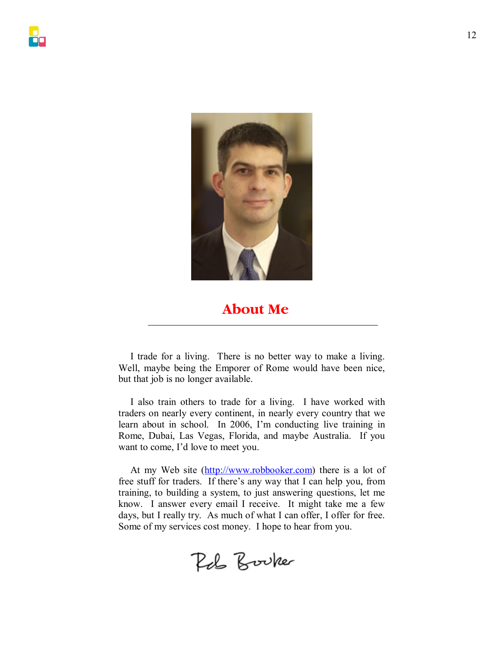

### **About Me**

I trade for a living. There is no better way to make a living. Well, maybe being the Emporer of Rome would have been nice, but that job is no longer available.

I also train others to trade for a living. I have worked with traders on nearly every continent, in nearly every country that we learn about in school. In 2006, I'm conducting live training in Rome, Dubai, Las Vegas, Florida, and maybe Australia. If you want to come, I'd love to meet you.

At my Web site (http://www.robbooker.com) there is a lot of free stuff for traders. If there's any way that I can help you, from training, to building a system, to just answering questions, let me know. I answer every email I receive. It might take me a few days, but I really try. As much of what I can offer, I offer for free. Some of my services cost money. I hope to hear from you.

Rob Booker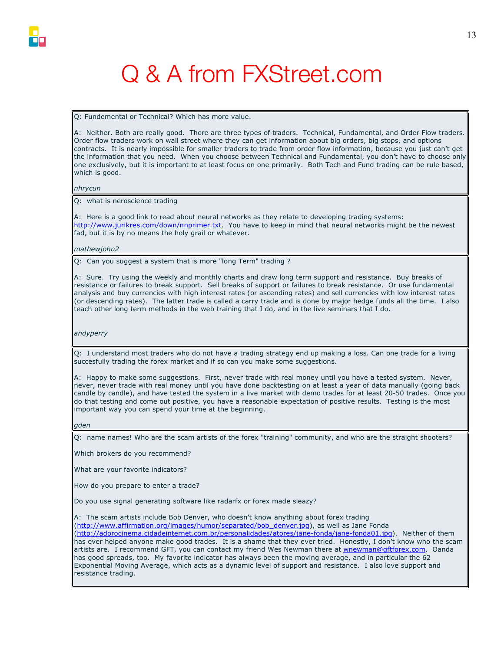

## Q & A from FXStreet.com

Q: Fundemental or Technical? Which has more value.

A: Neither. Both are really good. There are three types of traders. Technical, Fundamental, and Order Flow traders. Order flow traders work on wall street where they can get information about big orders, big stops, and options contracts. It is nearly impossible for smaller traders to trade from order flow information, because you just can't get the information that you need. When you choose between Technical and Fundamental, you don't have to choose only one exclusively, but it is important to at least focus on one primarily. Both Tech and Fund trading can be rule based, which is good.

*nhrycun*

Q: what is neroscience trading

A: Here is a good link to read about neural networks as they relate to developing trading systems: http://www.jurikres.com/down/nnprimer.txt. You have to keep in mind that neural networks might be the newest fad, but it is by no means the holy grail or whatever.

*mathewjohn2*

Q: Can you suggest a system that is more "long Term" trading ?

A: Sure. Try using the weekly and monthly charts and draw long term support and resistance. Buy breaks of resistance or failures to break support. Sell breaks of support or failures to break resistance. Or use fundamental analysis and buy currencies with high interest rates (or ascending rates) and sell currencies with low interest rates (or descending rates). The latter trade is called a carry trade and is done by major hedge funds all the time. I also teach other long term methods in the web training that I do, and in the live seminars that I do.

*andyperry* 

Q: I understand most traders who do not have a trading strategy end up making a loss. Can one trade for a living succesfully trading the forex market and if so can you make some suggestions.

A: Happy to make some suggestions. First, never trade with real money until you have a tested system. Never, never, never trade with real money until you have done backtesting on at least a year of data manually (going back candle by candle), and have tested the system in a live market with demo trades for at least 20-50 trades. Once you do that testing and come out positive, you have a reasonable expectation of positive results. Testing is the most important way you can spend your time at the beginning.

*gden*

Q: name names! Who are the scam artists of the forex "training" community, and who are the straight shooters?

Which brokers do you recommend?

What are your favorite indicators?

How do you prepare to enter a trade?

Do you use signal generating software like radarfx or forex made sleazy?

A: The scam artists include Bob Denver, who doesn't know anything about forex trading (http://www.affirmation.org/images/humor/separated/bob\_denver.jpg), as well as Jane Fonda (http://adorocinema.cidadeinternet.com.br/personalidades/atores/jane-fonda/jane-fonda01.jpg). Neither of them has ever helped anyone make good trades. It is a shame that they ever tried. Honestly, I don't know who the scam artists are. I recommend GFT, you can contact my friend Wes Newman there at wnewman@gftforex.com. Oanda has good spreads, too. My favorite indicator has always been the moving average, and in particular the 62 Exponential Moving Average, which acts as a dynamic level of support and resistance. I also love support and resistance trading.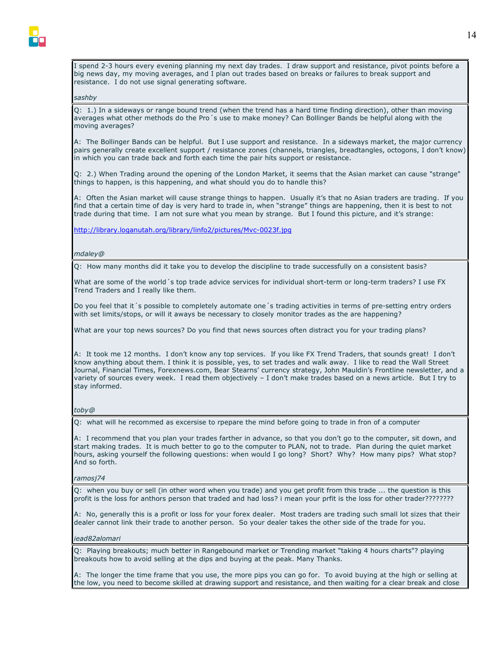I spend 2-3 hours every evening planning my next day trades. I draw support and resistance, pivot points before a big news day, my moving averages, and I plan out trades based on breaks or failures to break support and resistance. I do not use signal generating software.

#### *sashby*

Q: 1.) In a sideways or range bound trend (when the trend has a hard time finding direction), other than moving averages what other methods do the Pro´s use to make money? Can Bollinger Bands be helpful along with the moving averages?

A: The Bollinger Bands can be helpful. But I use support and resistance. In a sideways market, the major currency pairs generally create excellent support / resistance zones (channels, triangles, breadtangles, octogons, I don't know) in which you can trade back and forth each time the pair hits support or resistance.

Q: 2.) When Trading around the opening of the London Market, it seems that the Asian market can cause "strange" things to happen, is this happening, and what should you do to handle this?

A: Often the Asian market will cause strange things to happen. Usually it's that no Asian traders are trading. If you find that a certain time of day is very hard to trade in, when "strange" things are happening, then it is best to not trade during that time. I am not sure what you mean by strange. But I found this picture, and it's strange:

http://library.loganutah.org/library/linfo2/pictures/Mvc-0023f.jpg

#### *mdaley@*

Q: How many months did it take you to develop the discipline to trade successfully on a consistent basis?

What are some of the world´s top trade advice services for individual short-term or long-term traders? I use FX Trend Traders and I really like them.

Do you feel that it´s possible to completely automate one´s trading activities in terms of pre-setting entry orders with set limits/stops, or will it aways be necessary to closely monitor trades as the are happening?

What are your top news sources? Do you find that news sources often distract you for your trading plans?

A: It took me 12 months. I don't know any top services. If you like FX Trend Traders, that sounds great! I don't know anything about them. I think it is possible, yes, to set trades and walk away. I like to read the Wall Street Journal, Financial Times, Forexnews.com, Bear Stearns' currency strategy, John Mauldin's Frontline newsletter, and a variety of sources every week. I read them objectively – I don't make trades based on a news article. But I try to stay informed.

#### *toby@*

Q: what will he recommed as excersise to rpepare the mind before going to trade in fron of a computer

A: I recommend that you plan your trades farther in advance, so that you don't go to the computer, sit down, and start making trades. It is much better to go to the computer to PLAN, not to trade. Plan during the quiet market hours, asking yourself the following questions: when would I go long? Short? Why? How many pips? What stop? And so forth.

#### *ramosj74*

Q: when you buy or sell (in other word when you trade) and you get profit from this trade ... the question is this profit is the loss for anthors person that traded and had loss? i mean your prfit is the loss for other trader????????

A: No, generally this is a profit or loss for your forex dealer. Most traders are trading such small lot sizes that their dealer cannot link their trade to another person. So your dealer takes the other side of the trade for you.

#### *iead82alomari*

Q: Playing breakouts; much better in Rangebound market or Trending market "taking 4 hours charts"? playing breakouts how to avoid selling at the dips and buying at the peak. Many Thanks.

A: The longer the time frame that you use, the more pips you can go for. To avoid buying at the high or selling at the low, you need to become skilled at drawing support and resistance, and then waiting for a clear break and close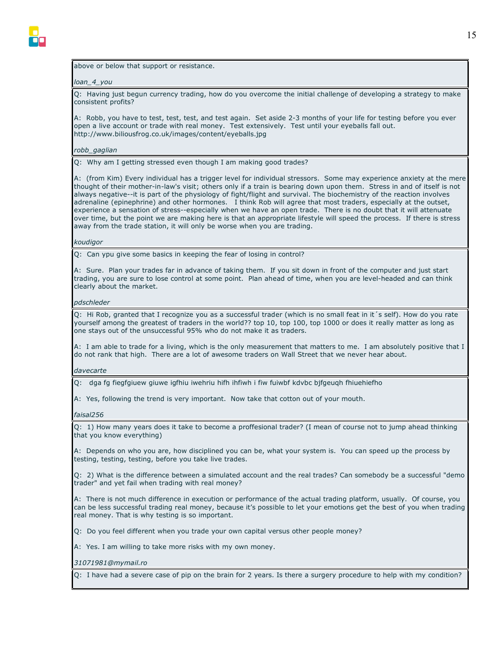

#### above or below that support or resistance.

#### *loan\_4\_you*

Q: Having just begun currency trading, how do you overcome the initial challenge of developing a strategy to make consistent profits?

A: Robb, you have to test, test, test, and test again. Set aside 2-3 months of your life for testing before you ever open a live account or trade with real money. Test extensively. Test until your eyeballs fall out. http://www.biliousfrog.co.uk/images/content/eyeballs.jpg

#### *robb\_gaglian*

Q: Why am I getting stressed even though I am making good trades?

A: (from Kim) Every individual has a trigger level for individual stressors. Some may experience anxiety at the mere thought of their mother-in-law's visit; others only if a train is bearing down upon them. Stress in and of itself is not always negative--it is part of the physiology of fight/flight and survival. The biochemistry of the reaction involves adrenaline (epinephrine) and other hormones. I think Rob will agree that most traders, especially at the outset, experience a sensation of stress--especially when we have an open trade. There is no doubt that it will attenuate over time, but the point we are making here is that an appropriate lifestyle will speed the process. If there is stress away from the trade station, it will only be worse when you are trading.

#### *koudigor*

Q: Can ypu give some basics in keeping the fear of losing in control?

A: Sure. Plan your trades far in advance of taking them. If you sit down in front of the computer and just start trading, you are sure to lose control at some point. Plan ahead of time, when you are level-headed and can think clearly about the market.

#### *pdschleder*

Q: Hi Rob, granted that I recognize you as a successful trader (which is no small feat in it´s self). How do you rate yourself among the greatest of traders in the world?? top 10, top 100, top 1000 or does it really matter as long as one stays out of the unsuccessful 95% who do not make it as traders.

A: I am able to trade for a living, which is the only measurement that matters to me. I am absolutely positive that I do not rank that high. There are a lot of awesome traders on Wall Street that we never hear about.

#### *davecarte*

Q: dga fg fiegfgiuew giuwe igfhiu iwehriu hifh ihfiwh i fiw fuiwbf kdvbc bjfgeuqh fhiuehiefho

A: Yes, following the trend is very important. Now take that cotton out of your mouth.

#### *faisal256*

Q: 1) How many years does it take to become a proffesional trader? (I mean of course not to jump ahead thinking that you know everything)

A: Depends on who you are, how disciplined you can be, what your system is. You can speed up the process by testing, testing, testing, before you take live trades.

Q: 2) What is the difference between a simulated account and the real trades? Can somebody be a successful "demo trader" and yet fail when trading with real money?

A: There is not much difference in execution or performance of the actual trading platform, usually. Of course, you can be less successful trading real money, because it's possible to let your emotions get the best of you when trading real money. That is why testing is so important.

Q: Do you feel different when you trade your own capital versus other people money?

A: Yes. I am willing to take more risks with my own money.

*31071981@mymail.ro*

Q: I have had a severe case of pip on the brain for 2 years. Is there a surgery procedure to help with my condition?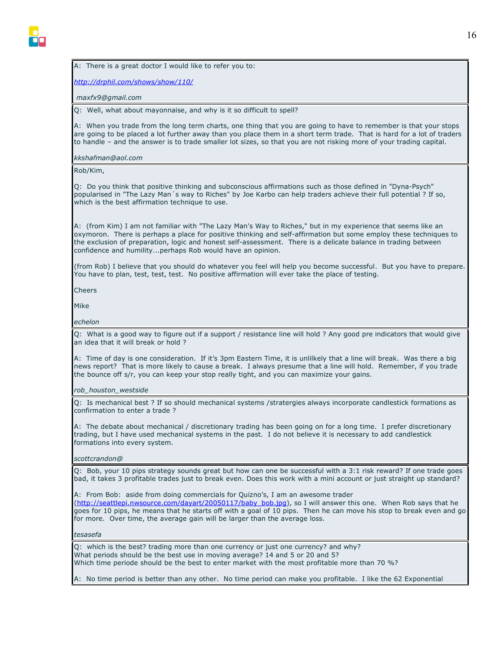#### A: There is a great doctor I would like to refer you to:

*http://drphil.com/shows/show/110/*

 *maxfx9@gmail.com*

Q: Well, what about mayonnaise, and why is it so difficult to spell?

A: When you trade from the long term charts, one thing that you are going to have to remember is that your stops are going to be placed a lot further away than you place them in a short term trade. That is hard for a lot of traders to handle – and the answer is to trade smaller lot sizes, so that you are not risking more of your trading capital.

*kkshafman@aol.com*

Rob/Kim,

Q: Do you think that positive thinking and subconscious affirmations such as those defined in "Dyna-Psych" popularised in "The Lazy Man´s way to Riches" by Joe Karbo can help traders achieve their full potential ? If so, which is the best affirmation technique to use.

A: (from Kim) I am not familiar with "The Lazy Man's Way to Riches," but in my experience that seems like an oxymoron. There is perhaps a place for positive thinking and self-affirmation but some employ these techniques to the exclusion of preparation, logic and honest self-assessment. There is a delicate balance in trading between confidence and humility...perhaps Rob would have an opinion.

(from Rob) I believe that you should do whatever you feel will help you become successful. But you have to prepare. You have to plan, test, test, test. No positive affirmation will ever take the place of testing.

Cheers

Mike

#### *echelon*

Q: What is a good way to figure out if a support / resistance line will hold ? Any good pre indicators that would give an idea that it will break or hold ?

A: Time of day is one consideration. If it's 3pm Eastern Time, it is unlilkely that a line will break. Was there a big news report? That is more likely to cause a break. I always presume that a line will hold. Remember, if you trade the bounce off s/r, you can keep your stop really tight, and you can maximize your gains.

#### *rob\_houston\_westside*

Q: Is mechanical best ? If so should mechanical systems /stratergies always incorporate candlestick formations as confirmation to enter a trade ?

A: The debate about mechanical / discretionary trading has been going on for a long time. I prefer discretionary trading, but I have used mechanical systems in the past. I do not believe it is necessary to add candlestick formations into every system.

#### *scottcrandon@*

Q: Bob, your 10 pips strategy sounds great but how can one be successful with a 3:1 risk reward? If one trade goes bad, it takes 3 profitable trades just to break even. Does this work with a mini account or just straight up standard?

A: From Bob: aside from doing commercials for Quizno's, I am an awesome trader (http://seattlepi.nwsource.com/dayart/20050117/baby\_bob.jpg), so I will answer this one. When Rob says that he goes for 10 pips, he means that he starts off with a goal of 10 pips. Then he can move his stop to break even and go for more. Over time, the average gain will be larger than the average loss.

#### *tesasefa*

Q: which is the best? trading more than one currency or just one currency? and why? What periods should be the best use in moving average? 14 and 5 or 20 and 5? Which time periode should be the best to enter market with the most profitable more than 70 %?

A: No time period is better than any other. No time period can make you profitable. I like the 62 Exponential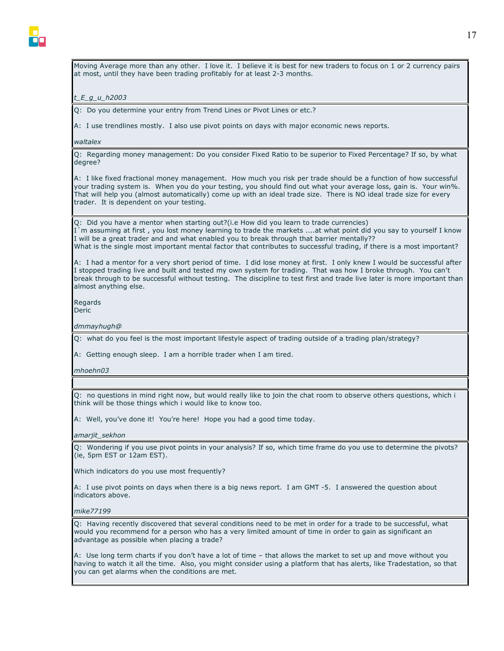

Moving Average more than any other. I love it. I believe it is best for new traders to focus on 1 or 2 currency pairs at most, until they have been trading profitably for at least 2-3 months.

#### *t\_E\_g\_u\_h2003*

Q: Do you determine your entry from Trend Lines or Pivot Lines or etc.?

A: I use trendlines mostly. I also use pivot points on days with major economic news reports.

#### *waltalex*

Q: Regarding money management: Do you consider Fixed Ratio to be superior to Fixed Percentage? If so, by what degree?

A: I like fixed fractional money management. How much you risk per trade should be a function of how successful your trading system is. When you do your testing, you should find out what your average loss, gain is. Your win%. That will help you (almost automatically) come up with an ideal trade size. There is NO ideal trade size for every trader. It is dependent on your testing.

Q: Did you have a mentor when starting out?(i.e How did you learn to trade currencies) I´m assuming at first , you lost money learning to trade the markets ....at what point did you say to yourself I know I will be a great trader and and what enabled you to break through that barrier mentally?? What is the single most important mental factor that contributes to successful trading, if there is a most important?

A: I had a mentor for a very short period of time. I did lose money at first. I only knew I would be successful after I stopped trading live and built and tested my own system for trading. That was how I broke through. You can't break through to be successful without testing. The discipline to test first and trade live later is more important than almost anything else.

Regards

Deric

*dmmayhugh@*

Q: what do you feel is the most important lifestyle aspect of trading outside of a trading plan/strategy?

A: Getting enough sleep. I am a horrible trader when I am tired.

*mhoehn03*

Q: no questions in mind right now, but would really like to join the chat room to observe others questions, which i think will be those things which i would like to know too.

A: Well, you've done it! You're here! Hope you had a good time today.

#### *amarjit\_sekhon*

Q: Wondering if you use pivot points in your analysis? If so, which time frame do you use to determine the pivots? (ie, 5pm EST or 12am EST).

Which indicators do you use most frequently?

A: I use pivot points on days when there is a big news report. I am GMT -5. I answered the question about indicators above.

#### *mike77199*

Q: Having recently discovered that several conditions need to be met in order for a trade to be successful, what would you recommend for a person who has a very limited amount of time in order to gain as significant an advantage as possible when placing a trade?

A: Use long term charts if you don't have a lot of time – that allows the market to set up and move without you having to watch it all the time. Also, you might consider using a platform that has alerts, like Tradestation, so that you can get alarms when the conditions are met.